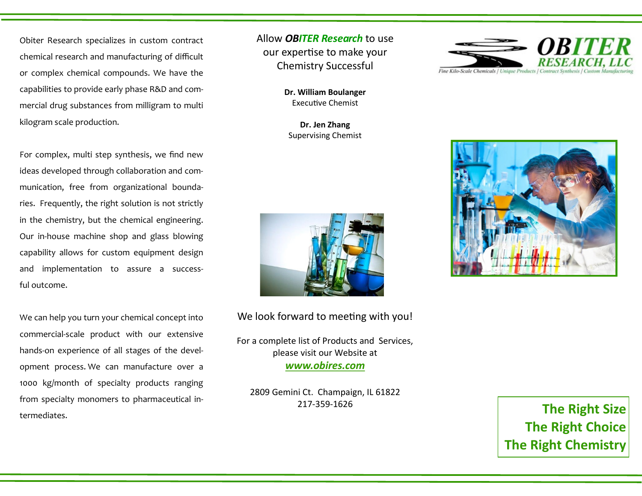Obiter Research specializes in custom contract chemical research and manufacturing of difficult or complex chemical compounds. We have the capabilities to provide early phase R&D and commercial drug substances from milligram to multi kilogram scale production.

For complex, multi step synthesis, we find new ideas developed through collaboration and communication, free from organizational boundaries. Frequently, the right solution is not strictly in the chemistry, but the chemical engineering. Our in-house machine shop and glass blowing capability allows for custom equipment design and implementation to assure a successful outcome.

We can help you turn your chemical concept into commercial-scale product with our extensive hands-on experience of all stages of the development process. We can manufacture over a 1000 kg/month of specialty products ranging from specialty monomers to pharmaceutical intermediates. **The Right Size**

Allow *OBITER Research* to use our expertise to make your Chemistry Successful

> **Dr. William Boulanger** Executive Chemist

**Dr. Jen Zhang** Supervising Chemist



We look forward to meeting with you!

For a complete list of Products and Services, please visit our Website at *www.obires.com*

2809 Gemini Ct. Champaign, IL 61822 217-359-1626





**The Right Choice The Right Chemistry**